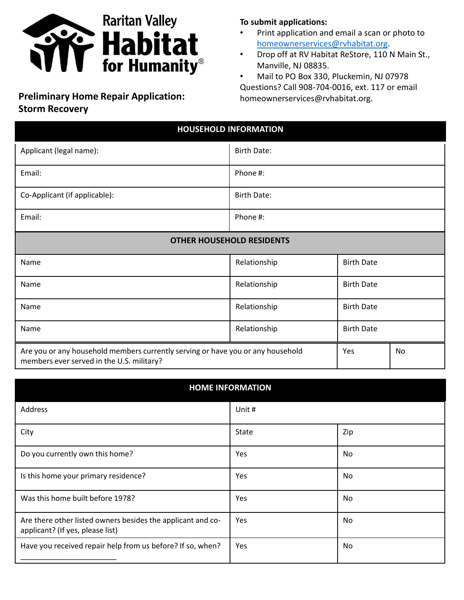

## **Preliminary Home Repair Application: homeownerservices@rvhabitat.org. Storm Recovery**

## **To submit applications:**

- Print application and email a scan or photo to [homeownerservices@rvhabitat.org.](mailto:homeownerservices@rvhabitat.org)
- Drop off at RV Habitat ReStore, 110 N Main St., Manville, NJ 08835.

• Mail to PO Box 330, Pluckemin, NJ 07978 Questions? Call 908-704-0016, ext. 117 or email

| <b>HOUSEHOLD INFORMATION</b>                                                                                                 |                    |                   |    |
|------------------------------------------------------------------------------------------------------------------------------|--------------------|-------------------|----|
| Applicant (legal name):                                                                                                      | <b>Birth Date:</b> |                   |    |
| Email:                                                                                                                       | Phone #:           |                   |    |
| Co-Applicant (if applicable):                                                                                                | <b>Birth Date:</b> |                   |    |
| Email:                                                                                                                       | Phone #:           |                   |    |
| <b>OTHER HOUSEHOLD RESIDENTS</b>                                                                                             |                    |                   |    |
| Name                                                                                                                         | Relationship       | <b>Birth Date</b> |    |
| Name                                                                                                                         | Relationship       | <b>Birth Date</b> |    |
| Name                                                                                                                         | Relationship       | <b>Birth Date</b> |    |
| Name                                                                                                                         | Relationship       | <b>Birth Date</b> |    |
| Are you or any household members currently serving or have you or any household<br>members ever served in the U.S. military? |                    | Yes               | No |

| <b>HOME INFORMATION</b>                                                                         |            |     |  |
|-------------------------------------------------------------------------------------------------|------------|-----|--|
| Address                                                                                         | Unit#      |     |  |
| City                                                                                            | State      | Zip |  |
| Do you currently own this home?                                                                 | <b>Yes</b> | No  |  |
| Is this home your primary residence?                                                            | Yes        | No  |  |
| Was this home built before 1978?                                                                | <b>Yes</b> | No  |  |
| Are there other listed owners besides the applicant and co-<br>applicant? (If yes, please list) | <b>Yes</b> | No  |  |
| Have you received repair help from us before? If so, when?                                      | <b>Yes</b> | No  |  |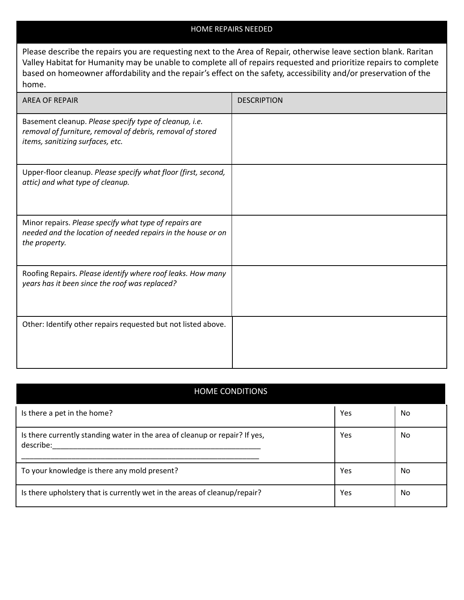## HOME REPAIRS NEEDED

Please describe the repairs you are requesting next to the Area of Repair, otherwise leave section blank. Raritan Valley Habitat for Humanity may be unable to complete all of repairs requested and prioritize repairs to complete based on homeowner affordability and the repair's effect on the safety, accessibility and/or preservation of the home.

| <b>AREA OF REPAIR</b>                                                                                                                                    | <b>DESCRIPTION</b> |
|----------------------------------------------------------------------------------------------------------------------------------------------------------|--------------------|
| Basement cleanup. Please specify type of cleanup, i.e.<br>removal of furniture, removal of debris, removal of stored<br>items, sanitizing surfaces, etc. |                    |
| Upper-floor cleanup. Please specify what floor (first, second,<br>attic) and what type of cleanup.                                                       |                    |
| Minor repairs. Please specify what type of repairs are<br>needed and the location of needed repairs in the house or on<br>the property.                  |                    |
| Roofing Repairs. Please identify where roof leaks. How many<br>years has it been since the roof was replaced?                                            |                    |
| Other: Identify other repairs requested but not listed above.                                                                                            |                    |

| <b>HOME CONDITIONS</b>                                                                   |     |    |  |
|------------------------------------------------------------------------------------------|-----|----|--|
| Is there a pet in the home?                                                              | Yes | No |  |
| Is there currently standing water in the area of cleanup or repair? If yes,<br>describe: | Yes | No |  |
| To your knowledge is there any mold present?                                             | Yes | No |  |
| Is there upholstery that is currently wet in the areas of cleanup/repair?                | Yes | No |  |